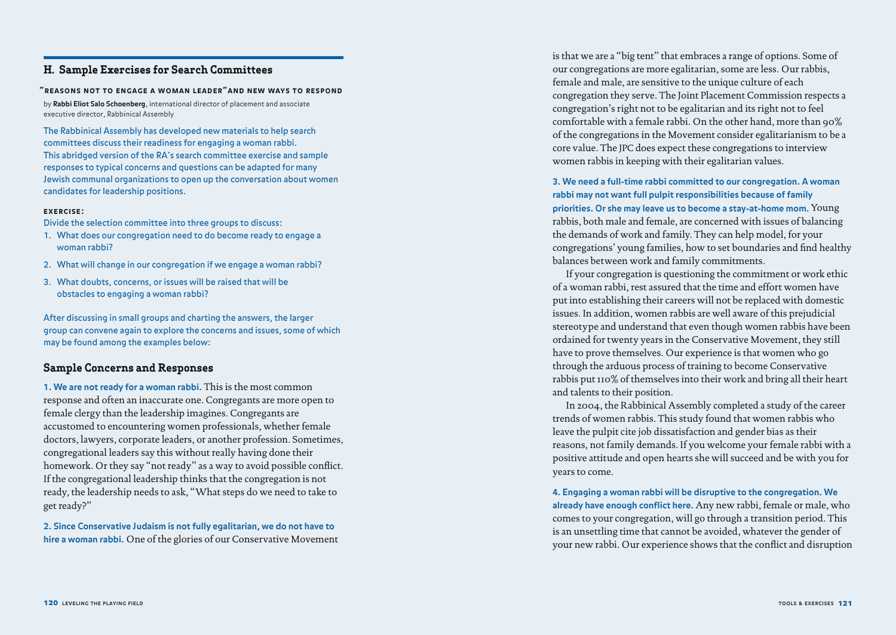## **H. Sample Exercises for Search Committees**

## **"reasons not to engage a woman leader"and new ways to respond**

by **Rabbi Eliot Salo Schoenberg**, international director of placement and associate executive director, Rabbinical Assembly

The Rabbinical Assembly has developed new materials to help search committees discuss their readiness for engaging a woman rabbi. This abridged version of the RA's search committee exercise and sample responses to typical concerns and questions can be adapted for many Jewish communal organizations to open up the conversation about women candidates for leadership positions.

## **exercise:**

Divide the selection committee into three groups to discuss:

- 1. What does our congregation need to do become ready to engage a woman rabbi?
- 2. What will change in our congregation if we engage a woman rabbi?
- 3. What doubts, concerns, or issues will be raised that will be obstacles to engaging a woman rabbi?

After discussing in small groups and charting the answers, the larger group can convene again to explore the concerns and issues, some of which may be found among the examples below:

## **Sample Concerns and Responses**

**1. We are not ready for a woman rabbi.** This is the most common response and often an inaccurate one. Congregants are more open to female clergy than the leadership imagines. Congregants are accustomed to encountering women professionals, whether female doctors, lawyers, corporate leaders, or another profession. Sometimes, congregational leaders say this without really having done their homework. Or they say "not ready" as a way to avoid possible conflict. If the congregational leadership thinks that the congregation is not ready, the leadership needs to ask, "What steps do we need to take to get ready?"

**2. Since Conservative Judaism is not fully egalitarian, we do not have to hire a woman rabbi.** One of the glories of our Conservative Movement is that we are a "big tent" that embraces a range of options. Some of our congregations are more egalitarian, some are less. Our rabbis, female and male, are sensitive to the unique culture of each congregation they serve. The Joint Placement Commission respects a congregation's right not to be egalitarian and its right not to feel comfortable with a female rabbi. On the other hand, more than 90% of the congregations in the Movement consider egalitarianism to be a core value. The JPC does expect these congregations to interview women rabbis in keeping with their egalitarian values.

**3. We need a full-time rabbi committed to our congregation. A woman rabbi may not want full pulpit responsibilities because of family priorities. Or she may leave us to become a stay-at-home mom.** Young rabbis, both male and female, are concerned with issues of balancing the demands of work and family. They can help model, for your congregations' young families, how to set boundaries and find healthy balances between work and family commitments.

If your congregation is questioning the commitment or work ethic of a woman rabbi, rest assured that the time and effort women have put into establishing their careers will not be replaced with domestic issues. In addition, women rabbis are well aware of this prejudicial stereotype and understand that even though women rabbis have been ordained for twenty years in the Conservative Movement, they still have to prove themselves. Our experience is that women who go through the arduous process of training to become Conservative rabbis put 110% of themselves into their work and bring all their heart and talents to their position.

In 2004, the Rabbinical Assembly completed a study of the career trends of women rabbis. This study found that women rabbis who leave the pulpit cite job dissatisfaction and gender bias as their reasons, not family demands. If you welcome your female rabbi with a positive attitude and open hearts she will succeed and be with you for years to come.

**4. Engaging a woman rabbi will be disruptive to the congregation. We already have enough conflict here.** Any new rabbi, female or male, who comes to your congregation, will go through a transition period. This is an unsettling time that cannot be avoided, whatever the gender of your new rabbi. Our experience shows that the conflict and disruption